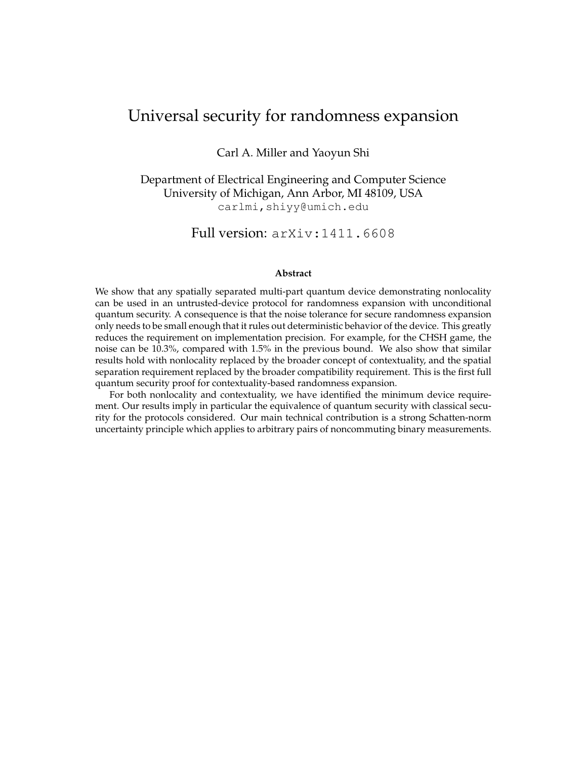# Universal security for randomness expansion

Carl A. Miller and Yaoyun Shi

Department of Electrical Engineering and Computer Science University of Michigan, Ann Arbor, MI 48109, USA carlmi,shiyy@umich.edu

Full version: arXiv:1411.6608

#### **Abstract**

We show that any spatially separated multi-part quantum device demonstrating nonlocality can be used in an untrusted-device protocol for randomness expansion with unconditional quantum security. A consequence is that the noise tolerance for secure randomness expansion only needs to be small enough that it rules out deterministic behavior of the device. This greatly reduces the requirement on implementation precision. For example, for the CHSH game, the noise can be 10.3%, compared with 1.5% in the previous bound. We also show that similar results hold with nonlocality replaced by the broader concept of contextuality, and the spatial separation requirement replaced by the broader compatibility requirement. This is the first full quantum security proof for contextuality-based randomness expansion.

For both nonlocality and contextuality, we have identified the minimum device requirement. Our results imply in particular the equivalence of quantum security with classical security for the protocols considered. Our main technical contribution is a strong Schatten-norm uncertainty principle which applies to arbitrary pairs of noncommuting binary measurements.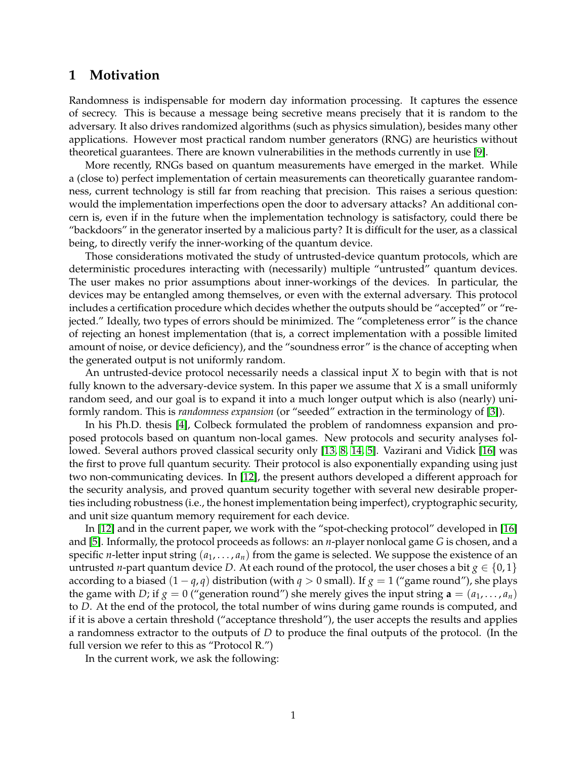## **1 Motivation**

Randomness is indispensable for modern day information processing. It captures the essence of secrecy. This is because a message being secretive means precisely that it is random to the adversary. It also drives randomized algorithms (such as physics simulation), besides many other applications. However most practical random number generators (RNG) are heuristics without theoretical guarantees. There are known vulnerabilities in the methods currently in use [\[9\]](#page-4-0).

More recently, RNGs based on quantum measurements have emerged in the market. While a (close to) perfect implementation of certain measurements can theoretically guarantee randomness, current technology is still far from reaching that precision. This raises a serious question: would the implementation imperfections open the door to adversary attacks? An additional concern is, even if in the future when the implementation technology is satisfactory, could there be "backdoors" in the generator inserted by a malicious party? It is difficult for the user, as a classical being, to directly verify the inner-working of the quantum device.

Those considerations motivated the study of untrusted-device quantum protocols, which are deterministic procedures interacting with (necessarily) multiple "untrusted" quantum devices. The user makes no prior assumptions about inner-workings of the devices. In particular, the devices may be entangled among themselves, or even with the external adversary. This protocol includes a certification procedure which decides whether the outputs should be "accepted" or "rejected." Ideally, two types of errors should be minimized. The "completeness error" is the chance of rejecting an honest implementation (that is, a correct implementation with a possible limited amount of noise, or device deficiency), and the "soundness error" is the chance of accepting when the generated output is not uniformly random.

An untrusted-device protocol necessarily needs a classical input *X* to begin with that is not fully known to the adversary-device system. In this paper we assume that *X* is a small uniformly random seed, and our goal is to expand it into a much longer output which is also (nearly) uniformly random. This is *randomness expansion* (or "seeded" extraction in the terminology of [\[3\]](#page-4-1)).

In his Ph.D. thesis [\[4\]](#page-4-2), Colbeck formulated the problem of randomness expansion and proposed protocols based on quantum non-local games. New protocols and security analyses followed. Several authors proved classical security only [\[13,](#page-4-3) [8,](#page-4-4) [14,](#page-4-5) [5\]](#page-4-6). Vazirani and Vidick [\[16\]](#page-5-0) was the first to prove full quantum security. Their protocol is also exponentially expanding using just two non-communicating devices. In [\[12\]](#page-4-7), the present authors developed a different approach for the security analysis, and proved quantum security together with several new desirable properties including robustness (i.e., the honest implementation being imperfect), cryptographic security, and unit size quantum memory requirement for each device.

In [\[12\]](#page-4-7) and in the current paper, we work with the "spot-checking protocol" developed in [\[16\]](#page-5-0) and [\[5\]](#page-4-6). Informally, the protocol proceeds as follows: an *n*-player nonlocal game *G* is chosen, and a specific *n*-letter input string  $(a_1, \ldots, a_n)$  from the game is selected. We suppose the existence of an untrusted *n*-part quantum device *D*. At each round of the protocol, the user choses a bit  $g \in \{0,1\}$ according to a biased  $(1 - q, q)$  distribution (with  $q > 0$  small). If  $q = 1$  ("game round"), she plays the game with *D*; if  $g = 0$  ("generation round") she merely gives the input string  $\mathbf{a} = (a_1, \dots, a_n)$ to *D*. At the end of the protocol, the total number of wins during game rounds is computed, and if it is above a certain threshold ("acceptance threshold"), the user accepts the results and applies a randomness extractor to the outputs of *D* to produce the final outputs of the protocol. (In the full version we refer to this as "Protocol R.")

In the current work, we ask the following: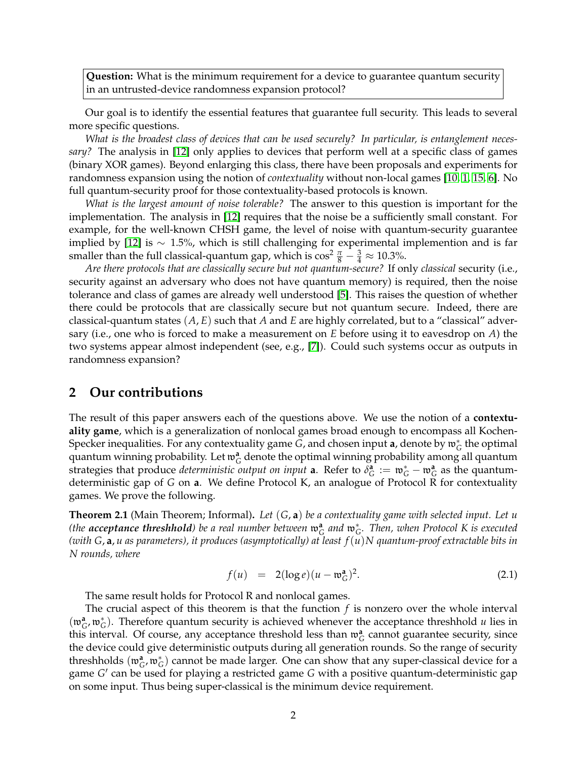**Question:** What is the minimum requirement for a device to guarantee quantum security in an untrusted-device randomness expansion protocol?

Our goal is to identify the essential features that guarantee full security. This leads to several more specific questions.

*What is the broadest class of devices that can be used securely? In particular, is entanglement necessary?* The analysis in [\[12\]](#page-4-7) only applies to devices that perform well at a specific class of games (binary XOR games). Beyond enlarging this class, there have been proposals and experiments for randomness expansion using the notion of *contextuality* without non-local games [\[10,](#page-4-8) [1,](#page-4-9) [15,](#page-4-10) [6\]](#page-4-11). No full quantum-security proof for those contextuality-based protocols is known.

*What is the largest amount of noise tolerable?* The answer to this question is important for the implementation. The analysis in [\[12\]](#page-4-7) requires that the noise be a sufficiently small constant. For example, for the well-known CHSH game, the level of noise with quantum-security guarantee implied by [\[12\]](#page-4-7) is  $\sim 1.5\%$ , which is still challenging for experimental implemention and is far smaller than the full classical-quantum gap, which is  $\cos^2 \frac{\pi}{8} - \frac{3}{4} \approx 10.3\%$ .

*Are there protocols that are classically secure but not quantum-secure?* If only *classical* security (i.e., security against an adversary who does not have quantum memory) is required, then the noise tolerance and class of games are already well understood [\[5\]](#page-4-6). This raises the question of whether there could be protocols that are classically secure but not quantum secure. Indeed, there are classical-quantum states (*A*, *E*) such that *A* and *E* are highly correlated, but to a "classical" adversary (i.e., one who is forced to make a measurement on *E* before using it to eavesdrop on *A*) the two systems appear almost independent (see, e.g., [\[7\]](#page-4-12)). Could such systems occur as outputs in randomness expansion?

### **2 Our contributions**

The result of this paper answers each of the questions above. We use the notion of a **contextuality game**, which is a generalization of nonlocal games broad enough to encompass all Kochen-Specker inequalities. For any contextuality game *G*, and chosen input **a**, denote by  $\mathfrak{w}_G^*$  the optimal quantum winning probability. Let  $\mathfrak{w}_G^{\mathbf{a}}$  denote the optimal winning probability among all quantum strategies that produce *deterministic output on input* **a**. Refer to  $\delta_G^{\bf a} := \mathfrak{w}_G^* - \mathfrak{w}_G^{\bf a}$  as the quantumdeterministic gap of *G* on **a**. We define Protocol K, an analogue of Protocol R for contextuality games. We prove the following.

<span id="page-2-0"></span>**Theorem 2.1** (Main Theorem; Informal)**.** *Let* (*G*, **a**) *be a contextuality game with selected input. Let u (the acceptance threshhold) be a real number between*  $\mathfrak{w}_G^{\mathbf{a}}$  and  $\mathfrak{w}_G^*$ . Then, when Protocol K is executed *(with G*, **a**, *u as parameters), it produces (asymptotically) at least f*(*u*)*N quantum-proof extractable bits in N rounds, where*

<span id="page-2-1"></span>
$$
f(u) = 2(\log e)(u - \mathfrak{w}_G^a)^2. \tag{2.1}
$$

The same result holds for Protocol R and nonlocal games.

The crucial aspect of this theorem is that the function *f* is nonzero over the whole interval  $(\mathfrak{w}_G^{\mathbf{a}}, \mathfrak{w}_G^*)$ . Therefore quantum security is achieved whenever the acceptance threshhold *u* lies in this interval. Of course, any acceptance threshold less than  $\mathfrak{w}_G^a$  cannot guarantee security, since the device could give deterministic outputs during all generation rounds. So the range of security threshholds  $(\mathfrak{w}_G^{\mathbf{a}}, \mathfrak{w}_G^*)$  cannot be made larger. One can show that any super-classical device for a game *G'* can be used for playing a restricted game *G* with a positive quantum-deterministic gap on some input. Thus being super-classical is the minimum device requirement.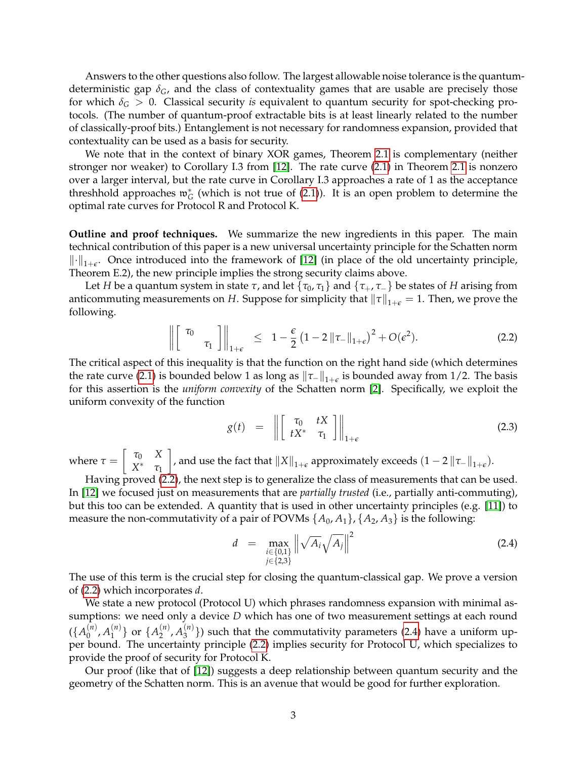Answers to the other questions also follow. The largest allowable noise tolerance is the quantumdeterministic gap *δG*, and the class of contextuality games that are usable are precisely those for which  $\delta$ <sup>*G*</sup> > 0. Classical security *is* equivalent to quantum security for spot-checking protocols. (The number of quantum-proof extractable bits is at least linearly related to the number of classically-proof bits.) Entanglement is not necessary for randomness expansion, provided that contextuality can be used as a basis for security.

We note that in the context of binary XOR games, Theorem [2.1](#page-2-0) is complementary (neither stronger nor weaker) to Corollary I.3 from [\[12\]](#page-4-7). The rate curve [\(2.1\)](#page-2-1) in Theorem [2.1](#page-2-0) is nonzero over a larger interval, but the rate curve in Corollary I.3 approaches a rate of 1 as the acceptance threshhold approaches  $\mathfrak{w}_G^*$  (which is not true of [\(2.1\)](#page-2-1)). It is an open problem to determine the optimal rate curves for Protocol R and Protocol K.

**Outline and proof techniques.** We summarize the new ingredients in this paper. The main technical contribution of this paper is a new universal uncertainty principle for the Schatten norm  $\lVert \cdot \rVert_{1+\epsilon}$ . Once introduced into the framework of [\[12\]](#page-4-7) (in place of the old uncertainty principle, Theorem E.2), the new principle implies the strong security claims above.

Let *H* be a quantum system in state  $\tau$ , and let  $\{\tau_0, \tau_1\}$  and  $\{\tau_+, \tau_-\}$  be states of *H* arising from anticommuting measurements on *H*. Suppose for simplicity that  $\|\tau\|_{1+\epsilon} = 1$ . Then, we prove the following.

<span id="page-3-0"></span>
$$
\left\| \begin{bmatrix} \tau_0 \\ \tau_1 \end{bmatrix} \right\|_{1+\epsilon} \leq 1 - \frac{\epsilon}{2} \left( 1 - 2 \left\| \tau_- \right\|_{1+\epsilon} \right)^2 + O(\epsilon^2). \tag{2.2}
$$

The critical aspect of this inequality is that the function on the right hand side (which determines the rate curve [\(2.1\)](#page-2-1) is bounded below 1 as long as  $\|\tau_-\|_{1+\epsilon}$  is bounded away from 1/2. The basis for this assertion is the *uniform convexity* of the Schatten norm [\[2\]](#page-4-13). Specifically, we exploit the uniform convexity of the function

$$
g(t) = \left\| \begin{bmatrix} \tau_0 & tX \\ tX^* & \tau_1 \end{bmatrix} \right\|_{1+\epsilon} \tag{2.3}
$$

where  $\tau = \begin{bmatrix} \tau_0 & X \\ Y^* & \tau_1 \end{bmatrix}$ *X* <sup>∗</sup> *τ*<sup>1</sup>  $\Big]$ , and use the fact that  $\|X\|_{1+\epsilon}$  approximately exceeds  $(1-2\|\tau_-\|_{1+\epsilon})$ .

Having proved [\(2.2\)](#page-3-0), the next step is to generalize the class of measurements that can be used. In [\[12\]](#page-4-7) we focused just on measurements that are *partially trusted* (i.e., partially anti-commuting), but this too can be extended. A quantity that is used in other uncertainty principles (e.g. [\[11\]](#page-4-14)) to measure the non-commutativity of a pair of POVMs  $\{A_0, A_1\}$ ,  $\{A_2, A_3\}$  is the following:

<span id="page-3-1"></span>
$$
d = \max_{\substack{i \in \{0,1\} \\ j \in \{2,3\}}} \left\| \sqrt{A_i} \sqrt{A_j} \right\|^2 \tag{2.4}
$$

The use of this term is the crucial step for closing the quantum-classical gap. We prove a version of [\(2.2\)](#page-3-0) which incorporates *d*.

We state a new protocol (Protocol U) which phrases randomness expansion with minimal assumptions: we need only a device *D* which has one of two measurement settings at each round  $({A_0^{(n)}}$  $A_0^{(n)}$ ,  $A_1^{(n)}$  $\{A_1^{(n)}\}$  or  $\{A_2^{(n)}\}$  $A_2^{(n)}$ ,  $A_3^{(n)}$  $\binom{n}{3}$ ) such that the commutativity parameters [\(2.4\)](#page-3-1) have a uniform upper bound. The uncertainty principle [\(2.2\)](#page-3-0) implies security for Protocol U, which specializes to provide the proof of security for Protocol K.

Our proof (like that of [\[12\]](#page-4-7)) suggests a deep relationship between quantum security and the geometry of the Schatten norm. This is an avenue that would be good for further exploration.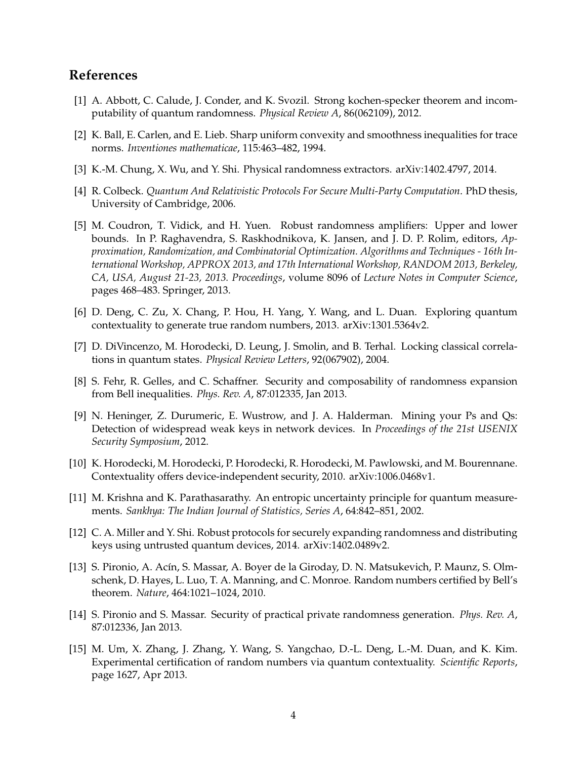## **References**

- <span id="page-4-9"></span>[1] A. Abbott, C. Calude, J. Conder, and K. Svozil. Strong kochen-specker theorem and incomputability of quantum randomness. *Physical Review A*, 86(062109), 2012.
- <span id="page-4-13"></span>[2] K. Ball, E. Carlen, and E. Lieb. Sharp uniform convexity and smoothness inequalities for trace norms. *Inventiones mathematicae*, 115:463–482, 1994.
- <span id="page-4-1"></span>[3] K.-M. Chung, X. Wu, and Y. Shi. Physical randomness extractors. arXiv:1402.4797, 2014.
- <span id="page-4-2"></span>[4] R. Colbeck. *Quantum And Relativistic Protocols For Secure Multi-Party Computation*. PhD thesis, University of Cambridge, 2006.
- <span id="page-4-6"></span>[5] M. Coudron, T. Vidick, and H. Yuen. Robust randomness amplifiers: Upper and lower bounds. In P. Raghavendra, S. Raskhodnikova, K. Jansen, and J. D. P. Rolim, editors, *Approximation, Randomization, and Combinatorial Optimization. Algorithms and Techniques - 16th International Workshop, APPROX 2013, and 17th International Workshop, RANDOM 2013, Berkeley, CA, USA, August 21-23, 2013. Proceedings*, volume 8096 of *Lecture Notes in Computer Science*, pages 468–483. Springer, 2013.
- <span id="page-4-11"></span>[6] D. Deng, C. Zu, X. Chang, P. Hou, H. Yang, Y. Wang, and L. Duan. Exploring quantum contextuality to generate true random numbers, 2013. arXiv:1301.5364v2.
- <span id="page-4-12"></span>[7] D. DiVincenzo, M. Horodecki, D. Leung, J. Smolin, and B. Terhal. Locking classical correlations in quantum states. *Physical Review Letters*, 92(067902), 2004.
- <span id="page-4-4"></span>[8] S. Fehr, R. Gelles, and C. Schaffner. Security and composability of randomness expansion from Bell inequalities. *Phys. Rev. A*, 87:012335, Jan 2013.
- <span id="page-4-0"></span>[9] N. Heninger, Z. Durumeric, E. Wustrow, and J. A. Halderman. Mining your Ps and Qs: Detection of widespread weak keys in network devices. In *Proceedings of the 21st USENIX Security Symposium*, 2012.
- <span id="page-4-8"></span>[10] K. Horodecki, M. Horodecki, P. Horodecki, R. Horodecki, M. Pawlowski, and M. Bourennane. Contextuality offers device-independent security, 2010. arXiv:1006.0468v1.
- <span id="page-4-14"></span>[11] M. Krishna and K. Parathasarathy. An entropic uncertainty principle for quantum measurements. *Sankhya: The Indian Journal of Statistics, Series A*, 64:842–851, 2002.
- <span id="page-4-7"></span>[12] C. A. Miller and Y. Shi. Robust protocols for securely expanding randomness and distributing keys using untrusted quantum devices, 2014. arXiv:1402.0489v2.
- <span id="page-4-3"></span>[13] S. Pironio, A. Acín, S. Massar, A. Boyer de la Giroday, D. N. Matsukevich, P. Maunz, S. Olmschenk, D. Hayes, L. Luo, T. A. Manning, and C. Monroe. Random numbers certified by Bell's theorem. *Nature*, 464:1021–1024, 2010.
- <span id="page-4-5"></span>[14] S. Pironio and S. Massar. Security of practical private randomness generation. *Phys. Rev. A*, 87:012336, Jan 2013.
- <span id="page-4-10"></span>[15] M. Um, X. Zhang, J. Zhang, Y. Wang, S. Yangchao, D.-L. Deng, L.-M. Duan, and K. Kim. Experimental certification of random numbers via quantum contextuality. *Scientific Reports*, page 1627, Apr 2013.